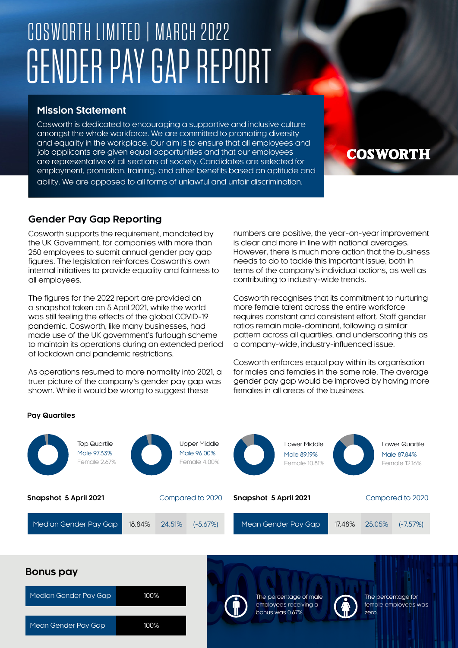# COSWORTH LIMITED | MARCH 2022 GENDER PAY GAP REPORT

## **Mission Statement**

Cosworth is dedicated to encouraging a supportive and inclusive culture amongst the whole workforce. We are committed to promoting diversity and equality in the workplace. Our aim is to ensure that all employees and job applicants are given equal opportunities and that our employees are representative of all sections of society. Candidates are selected for employment, promotion, training, and other benefits based on aptitude and ability. We are opposed to all forms of unlawful and unfair discrimination.

## **Gender Pay Gap Reporting**

Cosworth supports the requirement, mandated by the UK Government, for companies with more than 250 employees to submit annual gender pay gap figures. The legislation reinforces Cosworth's own internal initiatives to provide equality and fairness to all employees.

The figures for the 2022 report are provided on a snapshot taken on 5 April 2021, while the world was still feeling the effects of the global COVID-19 pandemic. Cosworth, like many businesses, had made use of the UK government's furlough scheme to maintain its operations during an extended period of lockdown and pandemic restrictions.

As operations resumed to more normality into 2021, a truer picture of the company's gender pay gap was shown. While it would be wrong to suggest these

Mean Gender Pay Gap 100%

numbers are positive, the year-on-year improvement is clear and more in line with national averages. However, there is much more action that the business needs to do to tackle this important issue, both in terms of the company's individual actions, as well as contributing to industry-wide trends.

**COSWORTH** 

Cosworth recognises that its commitment to nurturing more female talent across the entire workforce requires constant and consistent effort. Staff gender ratios remain male-dominant, following a similar pattern across all quartiles, and underscoring this as a company-wide, industry-influenced issue.

Cosworth enforces equal pay within its organisation for males and females in the same role. The average gender pay gap would be improved by having more females in all areas of the business.

### **Pay Quartiles**